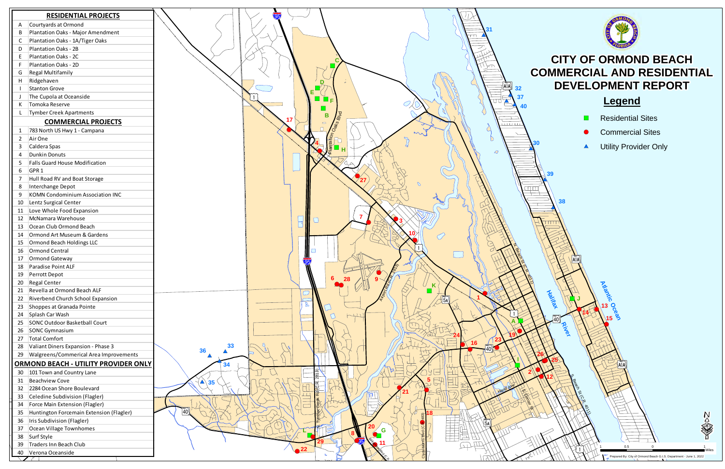)l

S. Beach St (CR. 401)

▲ Utility Provider Only

")

**J**

**Halifax Rivers** 

**15**

**Atlantic Ocean** 

14

**38**

**13**

**14**

 $\bullet$ 

# **CITY OF ORMOND BEACH COMMERCIAL AND RESIDENTIAL DEVELOPMENT REPORT**



# **Legend**

- **E** Residential Sites
- **•** Commercial Sites

 $\sum_{[\mathsf{A}]\mathsf{A}]}$ 

 $\sum_{\mathsf{A}|\mathsf{A}\mathsf{B}}$ 

| <b>RESIDENTIAL PROJECTS</b>                            |                                   |                 |                                                                                         |               |               |             |
|--------------------------------------------------------|-----------------------------------|-----------------|-----------------------------------------------------------------------------------------|---------------|---------------|-------------|
| Courtyards at Ormond<br>A                              |                                   |                 |                                                                                         |               |               |             |
| Plantation Oaks - Major Amendment<br>B                 |                                   |                 |                                                                                         |               |               |             |
| Plantation Oaks - 1A/Tiger Oaks<br>C                   |                                   |                 |                                                                                         |               |               |             |
| Plantation Oaks - 2B<br>D                              |                                   |                 |                                                                                         |               |               |             |
| Plantation Oaks - 2C<br>E,                             |                                   |                 |                                                                                         |               |               | CI          |
| Plantation Oaks - 2D<br>F                              |                                   |                 |                                                                                         |               |               |             |
| <b>Regal Multifamily</b><br>G                          |                                   |                 |                                                                                         |               |               | <b>COMN</b> |
| Ridgehaven<br>H                                        |                                   |                 |                                                                                         |               |               |             |
| <b>Stanton Grove</b>                                   |                                   | Е               |                                                                                         |               | †AĪA∬<br>32   | D           |
| The Cupola at Oceanside                                |                                   |                 | $\blacksquare$ $\blacksquare$ $_{\sf F}$                                                |               | 37            |             |
| Tomoka Reserve<br>К                                    |                                   |                 |                                                                                         |               | 40            |             |
| Tymber Creek Apartments<br>L                           |                                   |                 |                                                                                         |               |               |             |
| <b>COMMERCIAL PROJECTS</b>                             |                                   |                 | Plantation Oaks Brid<br>Here Consider The Hotel Product<br>$\qquad \qquad \blacksquare$ |               | <b>COLLER</b> |             |
| 783 North US Hwy 1 - Campana<br>1                      |                                   |                 |                                                                                         |               |               |             |
| Air One<br>$\overline{2}$                              |                                   |                 |                                                                                         |               |               |             |
| Caldera Spas<br>3                                      |                                   |                 |                                                                                         |               |               |             |
| Dunkin Donuts<br>4                                     |                                   |                 |                                                                                         |               | $\mathcal{Q}$ |             |
| Falls Guard House Modification<br>5                    |                                   |                 |                                                                                         |               |               |             |
| GPR <sub>1</sub><br>6                                  |                                   |                 |                                                                                         |               |               |             |
| Hull Road RV and Boat Storage<br>7                     |                                   |                 |                                                                                         |               |               | 39          |
| Interchange Depot<br>8                                 |                                   |                 |                                                                                         | $\mathcal{O}$ |               |             |
| <b>KOMN Condominium Association INC</b><br>9           |                                   |                 |                                                                                         |               |               |             |
| Lentz Surgical Center<br>10                            |                                   |                 |                                                                                         |               |               |             |
| Love Whole Food Expansion<br>11                        |                                   |                 |                                                                                         |               |               |             |
| McNamara Warehouse<br>12                               |                                   |                 |                                                                                         |               |               |             |
| Ocean Club Ormond Beach<br>13                          |                                   |                 |                                                                                         |               |               |             |
| Ormond Art Museum & Gardens<br>14                      |                                   |                 |                                                                                         |               |               |             |
| Ormond Beach Holdings LLC<br>15                        |                                   |                 |                                                                                         |               |               |             |
| Ormond Central<br>16                                   |                                   |                 |                                                                                         |               |               |             |
| Ormond Gateway<br>17                                   |                                   |                 |                                                                                         |               |               |             |
| Paradise Point ALF<br>18                               |                                   | $\overline{95}$ |                                                                                         |               |               |             |
| Perrott Depot<br>19                                    |                                   |                 |                                                                                         |               |               |             |
|                                                        |                                   |                 |                                                                                         |               |               |             |
| Regal Center<br>20<br>Revella at Ormond Beach ALF      |                                   |                 |                                                                                         |               |               |             |
| 21<br>Riverbend Church School Expansion                |                                   |                 |                                                                                         |               |               | Halifax     |
| 22                                                     |                                   |                 |                                                                                         |               |               |             |
| Shoppes at Granada Pointe<br>23                        |                                   |                 |                                                                                         |               |               |             |
| Splash Car Wash<br>24<br>SONC Outdoor Basketball Court |                                   |                 |                                                                                         |               |               | $\sqrt{40}$ |
| 25                                                     |                                   |                 |                                                                                         |               |               |             |
| SONC Gymnasium<br>26                                   |                                   |                 |                                                                                         |               |               |             |
| Total Comfort<br>27                                    | 33                                |                 |                                                                                         |               | 16            |             |
| Valiant Diners Expansion - Phase 3<br>28               | 36                                |                 |                                                                                         |               |               |             |
| Walgreens/Commerical Area Improvements<br>29           |                                   |                 |                                                                                         |               |               |             |
| <b>ORMOND BEACH - UTILITY PROVIDER ONLY</b>            | 34                                |                 |                                                                                         |               |               |             |
| 101 Town and Country Lane<br>30 <sup>°</sup>           |                                   |                 | $\frac{13}{2}$                                                                          |               |               |             |
| Beachview Cove<br>31                                   | 35<br>$\blacktriangle \backslash$ |                 |                                                                                         |               |               |             |
| 2284 Ocean Shore Boulevard<br>32                       |                                   |                 |                                                                                         |               |               |             |
| Celedine Subdivision (Flagler)<br>33                   |                                   |                 |                                                                                         |               |               |             |
| Force Main Extension (Flagler)<br>34                   |                                   |                 |                                                                                         |               |               |             |
| Huntington Forcemain Extension (Flagler)<br>35         |                                   |                 |                                                                                         |               |               |             |
| Iris Subdivision (Flagler)<br>36                       |                                   |                 |                                                                                         |               |               |             |
| Ocean Village Townhomes<br>37                          |                                   |                 | G                                                                                       |               |               |             |
| Surf Style<br>38                                       |                                   |                 |                                                                                         |               |               |             |
| Traders Inn Beach Club<br>39                           |                                   | 22              |                                                                                         |               |               |             |
| Verona Oceanside<br>40                                 |                                   |                 |                                                                                         |               |               |             |
|                                                        |                                   |                 |                                                                                         |               |               |             |

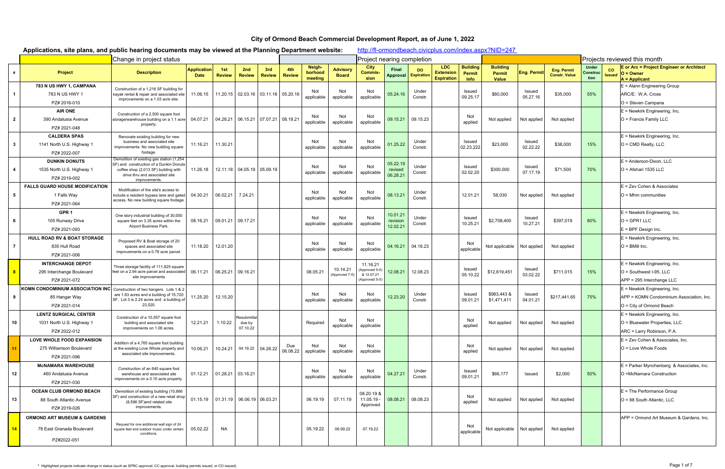|                | Applications, site plans, and public hearing documents may be viewed at the Planning Department website: |                                                                                                                                                                                 |                                   |                      |                                  |                                     |                      |                              |                                 |                                                            |                                  |                          |                                                     |                                          | http://fl-ormondbeach.civicplus.com/index.aspx?NID=247 |                    |                                            |                                  |                            |                                                                                                         |
|----------------|----------------------------------------------------------------------------------------------------------|---------------------------------------------------------------------------------------------------------------------------------------------------------------------------------|-----------------------------------|----------------------|----------------------------------|-------------------------------------|----------------------|------------------------------|---------------------------------|------------------------------------------------------------|----------------------------------|--------------------------|-----------------------------------------------------|------------------------------------------|--------------------------------------------------------|--------------------|--------------------------------------------|----------------------------------|----------------------------|---------------------------------------------------------------------------------------------------------|
|                |                                                                                                          | Change in project status                                                                                                                                                        |                                   |                      |                                  |                                     |                      |                              |                                 | Project nearing completion                                 |                                  |                          |                                                     |                                          |                                                        |                    |                                            |                                  |                            | Projects reviewed this month                                                                            |
|                | Project                                                                                                  | <b>Description</b>                                                                                                                                                              | <b>Application</b><br><b>Date</b> | 1st<br><b>Review</b> | 2nd<br><b>Review</b>             | 3rd<br><b>Review</b>                | 4th<br><b>Review</b> | Neigh-<br>borhood<br>meeting | <b>Advisory</b><br><b>Board</b> | City<br><b>Commis-</b><br>sion                             | Final<br>Approval                | DO.<br><b>Expiration</b> | <b>LDC</b><br><b>Extension</b><br><b>Expiration</b> | <b>Building</b><br>Permit<br><b>Info</b> | <b>Building</b><br>Permit<br><b>Value</b>              | Eng. Permit        | <b>Eng. Permit</b><br><b>Constr. Value</b> | <b>Under</b><br>Construe<br>tion | <b>CO</b><br><b>Issued</b> | E or Arc = Project Engineer or Architect<br>$O =$ Owner<br>$A = Applicant$                              |
|                | 783 N US HWY 1, CAMPANA<br>783 N US HWY 1<br>PZ# 2016-010                                                | Construction of a 1,216 SF building for<br>kayak rental & repair and associated site<br>improvements on a 1.03 acre site.                                                       | 11.06.15                          |                      |                                  | 11.20.15 02.03.16 03.11.16 05.20.16 |                      | Not<br>applicable            | Not<br>applicable               | Not<br>applicable                                          | 05.24.16                         | Under<br>Constr.         |                                                     | Issued<br>09.25.17                       | \$80,000                                               | Issued<br>05.27.16 | \$35,000                                   | 55%                              |                            | $E =$ Alann Engineering Group<br>ARC/E: W.A. Cross<br>O = Steven Campana                                |
| $\overline{2}$ | <b>AIR ONE</b><br>390 Andalusia Avenue<br>PZ# 2021-048                                                   | Construction of a 2,500 square foot<br>storage/warehouse building on a 1.1 acre<br>property                                                                                     | 04.07.21                          | 04.28.21             |                                  | $\vert$ 06.15.21 07.07.21 08.19.21  |                      | Not<br>applicable            | Not<br>applicable               | Not<br>applicable                                          | 09.15.21                         | 09.15.23                 |                                                     | Not<br>applied                           | Not applied                                            | Not applied        | Not applied                                |                                  |                            | $E =$ Newkirk Engineering, Inc.<br>$O =$ Francis Family LLC                                             |
| $\mathbf{3}$   | <b>CALDERA SPAS</b><br>1141 North U.S. Highway 1<br>PZ# 2022-007                                         | Renovate existing building for new<br>business and associated site<br>improvements. No new building square<br>footage.                                                          | 11.16.21                          | 11.30.21             |                                  |                                     |                      | Not<br>applicable            | Not<br>applicable               | Not<br>applicable                                          | 01.25.22                         | Under<br>Constr.         |                                                     | Issued<br>02.23.222                      | \$23,000                                               | Issued<br>02.22.22 | \$38,000                                   | 15%                              |                            | $E =$ Newkirk Engineering, Inc.<br>$O = CMD$ Realty, LLC                                                |
| 4              | <b>DUNKIN DONUTS</b><br>1535 North U.S. Highway 1<br>PZ# 2019-002                                        | Demolition of existing gas station (1,254<br>SF) and construction of a Dunkin Donuts<br>coffee shop (2,013 SF) building with<br>drive thru and associated site<br>improvements. | 11.26.18                          |                      |                                  | 12.11.18   04.05.19   05.09.19      |                      | Not<br>applicable            | Not<br>applicable               | Not<br>applicable                                          | 05.22.19<br>revised<br>06.28.21  | Under<br>Constr.         |                                                     | Issued<br>02.02.20                       | \$300,000                                              | Issued<br>07.17.19 | \$71,500                                   | 70%                              |                            | $E =$ Anderson-Dixon, LLC<br>O = Afshari 1535 LLC                                                       |
| 5              | <b>FALLS GUARD HOUSE MODIFICATION</b><br>1 Falls Way<br>PZ# 2021-064                                     | Modification of the site's access to<br>include a resident bypass lane and gated<br>access. No new building square footage.                                                     | 04.30.21                          | 06.02.21             | 7.24.21                          |                                     |                      | Not<br>applicable            | Not<br>applicable               | Not<br>applicable                                          | 08.13.21                         | Under<br>Constr.         |                                                     | 12.01.21                                 | 58,030                                                 | Not applied        | Not applied                                |                                  |                            | E = Zev Cohen & Associates<br>$O = Mhm$ communities                                                     |
| 6              | GPR <sub>1</sub><br>105 Runway Drive<br>PZ# 2021-093                                                     | One story industrial building of 30,000<br>square feet on 3.35 acres within the<br>Airport Business Park.                                                                       | 08.16.21                          | 09.01.21             | 09.17.21                         |                                     |                      | Not<br>applicable            | Not<br>applicable               | Not<br>applicable                                          | 10.01.21<br>revision<br>12.02.21 | Under<br>Constr.         |                                                     | Issued<br>10.25.21                       | \$2,708,400                                            | Issued<br>10.27.21 | \$397,019                                  | 80%                              |                            | $E =$ Newkirk Engineering, Inc.<br>$O = GPR1 LLC$<br>$E = BPF$ Design Inc.                              |
| $\overline{7}$ | HULL ROAD RV & BOAT STORAGE<br>835 Hull Road<br>PZ# 2021-006                                             | Proposed RV & Boat storage of 20<br>spaces and associated site<br>improvements on a 0.78 acre parcel.                                                                           | 11.18.20                          | 12.01.20             |                                  |                                     |                      | Not<br>applicable            | Not<br>applicable               | Not<br>applicable                                          | 04.16.21                         | 04.16.23                 |                                                     | Not<br>applicable                        | Not applicable   Not applied                           |                    | Not applied                                |                                  |                            | $E =$ Newkirk Engineering, Inc.<br>$O =$ BMill Inc.                                                     |
|                | <b>INTERCHANGE DEPOT</b><br>295 Interchange Boulevard<br>PZ# 2021-072                                    | Three storage facility of 111,825 square<br>feet on a 2.94 acre parcel and associated<br>site improvements                                                                      | 06.11.21                          | 06.25.21             | 09.16.21                         |                                     |                      | 08.05.21                     | 10.14.21<br>(Approved 7-0)      | 11.16.21<br>(Approved 5-0)<br>& 12.07.21<br>(Approved 5-0) | 12.08.21                         | 12.08.23                 |                                                     | Issued<br>05.10.22                       | \$12,619,451                                           | Issued<br>03.02.22 | \$711,015                                  | 15%                              |                            | $E =$ Newkirk Engineering, Inc.<br>$O =$ Southwest I-95, LLC<br>APP = 295 Interchange LLC               |
| 9              | KOMN CONDOMINIUM ASSOCIATION INC<br>85 Hangar Way<br>PZ# 2021-014                                        | Construction of two hangers. Lots 1 & 2<br>are 1.63 acres and a building of 15,720<br>SF. Lot 3 is 2.24 acres and a building of<br>23,520.                                      | 11.25.20                          | 12.15.20             |                                  |                                     |                      | Not<br>applicable            | Not<br>applicable               | Not<br>applicable                                          | 12.23.20                         | Under<br>Constr.         |                                                     | Issued<br>09.01.21                       | \$983,443 &<br>\$1,471,411                             | Issued<br>04.01.21 | \$217,441.65                               | 75%                              |                            | $E =$ Newkirk Engineering, Inc.<br>APP = KOMN Condominium Association, Inc.<br>O = City of Ormond Beach |
| 10             | <b>LENTZ SURGICAL CENTER</b><br>1031 North U.S. Highway 1<br>PZ# 2022-012                                | Construction of a 10,557 square foot<br>building and associated site<br>improvements on 1.06 acres.                                                                             | 12.21.21                          | 1.10.22              | Resubmitta<br>due by<br>07.10.22 |                                     |                      | Required                     | Not<br>applicable               | Not<br>applicable                                          |                                  |                          |                                                     | Not<br>applied                           | Not applied                                            | Not applied        | Not applied                                |                                  |                            | E = Newkirk Engineering, Inc.<br>O = Bluewater Properties, LLC<br>ARC = Larry Robinson, P.A.            |
| 11             | <b>LOVE WHOLE FOOD EXPANSION</b><br>275 Williamson Boulevard<br>PZ# 2021-096                             | Addition of a 4,765 square foot building<br>at the existing Love Whole property and<br>associated site improvements.                                                            | 10.06.21                          | 10.24.21             |                                  | 04.19.22 04.26.22                   | Due<br>06.08.22      | Not<br>applicable            | Not<br>applicable               | Not<br>applicable                                          |                                  |                          |                                                     | Not<br>applied                           | Not applied                                            | Not applied        | Not applied                                |                                  |                            | $E = Zev$ Cohen & Associates. Inc.<br>O = Love Whole Foods                                              |
| 12             | <b>MCNAMARA WAREHOUSE</b><br>460 Andalusia Avenue<br>PZ# 2021-030                                        | Construction of an 840 square foot<br>warehouse and associated site<br>improvements on a 0.10 acre property.                                                                    | 01.12.21                          | 01.28.21             | 03.16.21                         |                                     |                      | Not<br>applicable            | Not<br>applicable               | Not<br>applicable                                          | 04.27.21                         | Under<br>Constr.         |                                                     | Issued<br>09.01.21                       | \$66,177                                               | Issued             | \$2,000                                    | 50%                              |                            | $E =$ Parker Mynchenberg & Associates, Inc.<br>O =McNamara Construction                                 |
| 13             | <b>OCEAN CLUB ORMOND BEACH</b><br>88 South Atlantic Avenue<br>PZ# 2019-026                               | Demolition of existing building (10,866<br>SF) and construction of a new retail shop<br>(8,596 SF) and related site<br>improvements.                                            | 01.15.19                          |                      |                                  | $01.31.19$ 06.06.19 06.03.21        |                      | 06.19.19                     | 07.11.19                        | 08.20.19 &<br>$11.05.19 -$<br>Approved                     | 08.08.21                         | 08.08.23                 |                                                     | Not<br>applied                           | Not applied                                            | Not applied        | Not applied                                |                                  |                            | $E =$ The Performance Group<br>O = 88 South Atlantic, LLC                                               |
| 14             | <b>ORMOND ART MUSEUM &amp; GARDENS</b><br>78 East Granada Boulevard<br>PZ#2022-051                       | Request for one additional wall sign of 24<br>square feet and outdoor music under certain<br>conditions.                                                                        | 05.02.22                          | NA                   |                                  |                                     |                      | 05.19.22                     | 06.09.22                        | 07.19.22                                                   |                                  |                          |                                                     | Not<br>applicable                        | Not applicable   Not applied                           |                    | Not applied                                |                                  |                            | APP = Ormond Art Museum & Gardens, Inc.                                                                 |

## **City of Ormond Beach Commercial Development Report, as of June 1, 2022**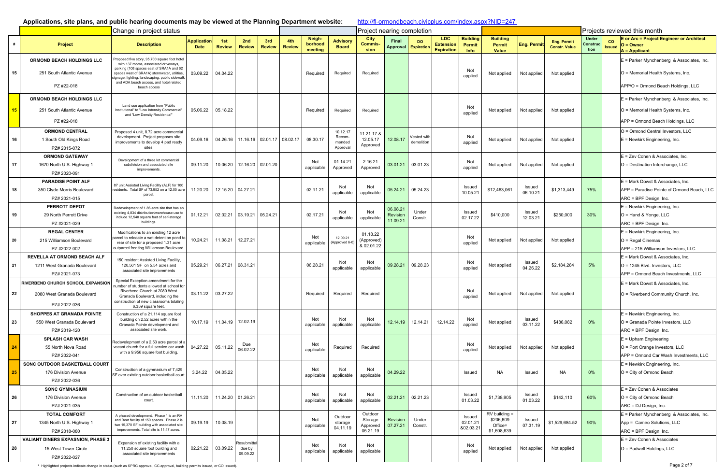#### **Applications, site plans, and public hearing documents may be viewed at the Planning Department website:**

http://fl-ormondbeach.civicplus.com/index.aspx?NID=247

|    |                                                                 | Change in project status                                                                                                                  |                                   |                      |                                           |               |                      |                              |                                          | Project nearing completion         |                        |                          |                                               |                                          |                                                  |                    | Projects reviewed this month               |                                  |                     |                                                                                   |
|----|-----------------------------------------------------------------|-------------------------------------------------------------------------------------------------------------------------------------------|-----------------------------------|----------------------|-------------------------------------------|---------------|----------------------|------------------------------|------------------------------------------|------------------------------------|------------------------|--------------------------|-----------------------------------------------|------------------------------------------|--------------------------------------------------|--------------------|--------------------------------------------|----------------------------------|---------------------|-----------------------------------------------------------------------------------|
| #  | <b>Project</b>                                                  | <b>Description</b>                                                                                                                        | <b>Application</b><br><b>Date</b> | 1st<br><b>Review</b> | 2nd<br><b>Review</b>                      | 3rd<br>Review | 4th<br><b>Review</b> | Neigh-<br>borhood<br>meeting | <b>Advisory</b><br><b>Board</b>          | City<br>Commis-<br>sion            | Final<br>Approval      | DO.<br><b>Expiration</b> | LDC.<br><b>Extension</b><br><b>Expiration</b> | <b>Building</b><br>Permit<br><b>Info</b> | <b>Building</b><br><b>Permit</b><br><b>Value</b> | Eng. Permit        | <b>Eng. Permit</b><br><b>Constr. Value</b> | <b>Under</b><br>Construc<br>tion | co<br><b>Issued</b> | <b>E</b> or Arc = Project Engineer or Architect<br>$O =$ Owner<br>$A = Applicant$ |
|    | <b>ORMOND BEACH HOLDINGS LLC</b>                                | Proposed five story, 95,700 square foot hotel<br>with 137 rooms, associated driveways,<br>parking (108 spaces east of SRA1A and 62        |                                   |                      |                                           |               |                      |                              |                                          |                                    |                        |                          |                                               |                                          |                                                  |                    |                                            |                                  |                     | E = Parker Mynchenberg & Associates, Inc.                                         |
| 15 | 251 South Atlantic Avenue                                       | spaces west of SRA1A) stormwater, utilities<br>signage, lighting, landscaping, public sidewall<br>and ADA beach access, and hotel related | 03.09.22                          | 04.04.22             |                                           |               |                      | Required                     | Required                                 | Required                           |                        |                          |                                               | Not<br>applied                           | Not applied                                      | Not applied        | Not applied                                |                                  |                     | O = Memorial Health Systems, Inc.                                                 |
|    | PZ #22-018                                                      | beach access                                                                                                                              |                                   |                      |                                           |               |                      |                              |                                          |                                    |                        |                          |                                               |                                          |                                                  |                    |                                            |                                  |                     | APP/O = Ormond Beach Holdings, LLC                                                |
|    | ORMOND BEACH HOLDINGS LLC                                       | Land use application from "Public                                                                                                         |                                   |                      |                                           |               |                      |                              |                                          |                                    |                        |                          |                                               |                                          |                                                  |                    |                                            |                                  |                     | E = Parker Mynchenberg & Associates, Inc.                                         |
| 15 | 251 South Atlantic Avenue                                       | Institutional" to "Low Intensity Commercial"<br>and "Low Density Residential"                                                             | 05.06.22                          | 05.18.22             |                                           |               |                      | Required                     | Required                                 | Required                           |                        |                          |                                               | Not<br>applied                           | Not applied                                      | Not applied        | Not applied                                |                                  |                     | O = Memorial Health Systems, Inc.                                                 |
|    | PZ #22-018                                                      |                                                                                                                                           |                                   |                      |                                           |               |                      |                              |                                          |                                    |                        |                          |                                               |                                          |                                                  |                    |                                            |                                  |                     | APP = Ormond Beach Holdings, LLC                                                  |
| 16 | <b>ORMOND CENTRAL</b><br>1 South Old Kings Road<br>PZ# 2015-072 | Proposed 4 unit, 8.72 acre commercial<br>development. Project proposes site<br>improvements to develop 4 pad ready<br>sites.              | 04.09.16                          |                      | 04.26.16   11.16.16   02.01.17   08.02.17 |               |                      | 08.30.17                     | 10.12.17<br>Recom-<br>mended<br>Approval | 11.21.17 &<br>12.05.17<br>Approved | 12.08.17               | ested with<br>demolition |                                               | Not<br>applied                           | Not applied                                      | Not applied        | Not applied                                |                                  |                     | O = Ormond Central Investors, LLC<br>$E =$ Newkirk Engineering, Inc.              |
|    | <b>ORMOND GATEWAY</b>                                           | Development of a three lot commercial                                                                                                     |                                   |                      |                                           |               |                      | Not                          | 01.14.21                                 | 2.16.21                            |                        |                          |                                               | Not                                      |                                                  |                    |                                            |                                  |                     | E = Zev Cohen & Associates, Inc.                                                  |
| 17 | 1670 North U.S. Highway 1<br>PZ# 2020-091                       | subdivision and associated site<br>improvements.                                                                                          | 09.11.20                          |                      | 10.06.20 12.16.20 02.01.20                |               |                      | applicable                   | Approved                                 | Approved                           | 03.01.21               | 03.01.23                 |                                               | applied                                  | Not applied                                      | Not applied        | Not applied                                |                                  |                     | O = Destination Interchange, LLC                                                  |
|    | <b>PARADISE POINT ALF</b>                                       | 87 unit Assisted Living Facility (ALF) for 100                                                                                            |                                   |                      |                                           |               |                      |                              | Not                                      | Not                                |                        |                          |                                               | Issued                                   |                                                  | Issued             |                                            |                                  |                     | E = Mark Dowst & Associates, Inc.                                                 |
| 18 | 350 Clyde Morris Boulevard<br>PZ# 2021-015                      | residents. Total SF of 73,952 on a 12.05 acre<br>parcel.                                                                                  | 11.20.20                          |                      | 12.15.20 04.27.21                         |               |                      | 02.11.21                     | applicable                               | applicable                         | 05.24.21               | 05.24.23                 |                                               | 10.05.21                                 | \$12,463,061                                     | 06.10.21           | \$1,313,449                                | 75%                              |                     | APP = Paradise Pointe of Ormond Beach, LLC<br>ARC = BPF Design, Inc.              |
|    | <b>PERROTT DEPOT</b>                                            | Redevelopment of 1.86-acre site that has an                                                                                               |                                   |                      |                                           |               |                      |                              |                                          |                                    |                        |                          |                                               |                                          |                                                  |                    |                                            |                                  |                     | $E =$ Newkirk Engineering, Inc.                                                   |
| 19 | 29 North Perrott Drive                                          | existing 4,834 distribution/warehouse use to<br>include 12,540 square feet of self-storage                                                | 01.12.21                          |                      | 02.02.21 03.19.21 05.24.21                |               |                      | 02.17.21                     | Not<br>applicable                        | Not<br>applicable                  | 06.08.21<br>Revision   | Under<br>Constr.         |                                               | Issued<br>02.17.22                       | \$410,000                                        | Issued<br>12.03.21 | \$250,000                                  | 30%                              |                     | $O =$ Hand & Yonge, LLC                                                           |
|    | PZ #2021-029                                                    | buildings.                                                                                                                                |                                   |                      |                                           |               |                      |                              |                                          |                                    | 11.09.21               |                          |                                               |                                          |                                                  |                    |                                            |                                  |                     | ARC = BPF Design, Inc.                                                            |
|    | <b>REGAL CENTER</b>                                             | Modifications to an existing 12 acre<br>parcel to relocate a wet detention pond to                                                        |                                   |                      |                                           |               |                      | Not                          | 12.09.21                                 | 01.18.22                           |                        |                          |                                               | Not                                      |                                                  |                    |                                            |                                  |                     | $E =$ Newkirk Engineering, Inc.                                                   |
| 20 | 215 Williamson Boulevard<br>PZ #2022-002                        | rear of site for a proposed 1.31 acre<br>outparcel fronting Williamson Boulevard.                                                         | 10.24.21                          | 11.08.21             | 12.27.21                                  |               |                      | applicable                   | Approved 6-0)                            | (Approved)<br>& 02.01.22           |                        |                          |                                               | applied                                  | Not applied                                      | Not applied        | Not applied                                |                                  |                     | $O =$ Regal Cinemas<br>APP = 215 Williamson Investors, LLC                        |
|    | <b>REVELLA AT ORMOND BEACH ALF</b>                              | 150 resident Assisted Living Facility,                                                                                                    |                                   |                      |                                           |               |                      |                              |                                          |                                    |                        |                          |                                               |                                          |                                                  |                    |                                            |                                  |                     | E = Mark Dowst & Associates, Inc.                                                 |
| 21 | 1211 West Granada Boulevard                                     | 120,501 SF on 5.54 acres and<br>associated site improvements                                                                              | 05.29.21                          | 06.27.21             | 08.31.21                                  |               |                      | 06.28.21                     | Not<br>applicable                        | Not<br>applicable                  | 09.28.21               | 09.28.23                 |                                               | Not<br>applied                           | Not applied                                      | Issued<br>04.26.22 | \$2,184,284                                | 5%                               |                     | $O = 1245$ Blvd. Investors, LLC                                                   |
|    | PZ# 2021-073                                                    | Special Exception amendment for the                                                                                                       |                                   |                      |                                           |               |                      |                              |                                          |                                    |                        |                          |                                               |                                          |                                                  |                    |                                            |                                  |                     | APP = Ormond Beach Investments, LLC                                               |
|    | <b>RIVERBEND CHURCH SCHOOL EXPANSION</b>                        | umber of students allowed at school for<br>Riverbend Church at 2080 West                                                                  |                                   |                      |                                           |               |                      |                              |                                          |                                    |                        |                          |                                               |                                          |                                                  |                    |                                            |                                  |                     | E = Mark Dowst & Associates, Inc.                                                 |
| 22 | 2080 West Granada Boulevard                                     | Granada Boulevard, including the<br>construction of new classrooms totaling                                                               |                                   | 03.11.22  03.27.22   |                                           |               |                      | Required                     | Required                                 | Required                           |                        |                          |                                               | ושצו<br>applied                          | Not applied                                      | Not applied        | Not applied                                |                                  |                     | O = Riverbend Community Church, Inc.                                              |
|    | PZ# 2022-036                                                    | 6,359 square feet.                                                                                                                        |                                   |                      |                                           |               |                      |                              |                                          |                                    |                        |                          |                                               |                                          |                                                  |                    |                                            |                                  |                     |                                                                                   |
| 23 | <b>SHOPPES AT GRANADA POINTE</b><br>550 West Granada Boulevard  | Construction of a 21,114 square foot<br>building on 2.52 acres within the                                                                 | 10.17.19                          |                      | 11.04.19 12.02.19                         |               |                      | Not                          | Not                                      | Not                                | 12.14.19               | 12.14.21                 | 12.14.22                                      | Not                                      | Not applied                                      | Issued             | \$486,082                                  | 0%                               |                     | $E =$ Newkirk Engineering, Inc.<br>O = Granada Pointe Investors, LLC              |
|    | PZ# 2019-120                                                    | Granada Pointe development and<br>associated site work.                                                                                   |                                   |                      |                                           |               |                      | applicable                   | applicable                               | applicable                         |                        |                          |                                               | applied                                  |                                                  | 03.11.22           |                                            |                                  |                     | ARC = BPF Design, Inc.                                                            |
|    | <b>SPLASH CAR WASH</b>                                          | Redevelopment of a 2.53 acre parcel of a                                                                                                  |                                   |                      |                                           |               |                      |                              |                                          |                                    |                        |                          |                                               |                                          |                                                  |                    |                                            |                                  |                     | $E =$ Upham Engineering                                                           |
| 24 | 55 North Nova Road                                              | vacant church for a full service car wash<br>with a 9,956 square foot building.                                                           | 04.27.22                          | 05.11.22             | Due<br>06.02.22                           |               |                      | Not<br>applicable            | Required                                 | Required                           |                        |                          |                                               | Not<br>applied                           | Not applied                                      | Not applied        | Not applied                                |                                  |                     | O = Port Orange Investors, LLC                                                    |
|    | PZ# 2022-041<br>SONC OUTDOOR BASKETBALL COURT                   |                                                                                                                                           |                                   |                      |                                           |               |                      |                              |                                          |                                    |                        |                          |                                               |                                          |                                                  |                    |                                            |                                  |                     | APP = Ormond Car Wash Investments, LLC<br>$E =$ Newkirk Engineering, Inc.         |
| 25 | 176 Division Avenue                                             | Construction of a gymnasium of 7,429<br>SF over existing outdoor basketball court                                                         | 3.24.22                           | 04.05.22             |                                           |               |                      | Not                          | Not<br>applicable                        | Not                                | 04.29.22               |                          |                                               | Issued                                   | <b>NA</b>                                        | Issued             | <b>NA</b>                                  | 0%                               |                     | $O = City of Ormond Beach$                                                        |
|    | PZ# 2022-036                                                    |                                                                                                                                           |                                   |                      |                                           |               |                      | applicable                   |                                          | applicable                         |                        |                          |                                               |                                          |                                                  |                    |                                            |                                  |                     |                                                                                   |
|    | <b>SONC GYMNASIUM</b>                                           | Construction of an outdoor basketball                                                                                                     |                                   |                      |                                           |               |                      | Not                          | Not                                      | Not                                |                        |                          |                                               | Issued                                   |                                                  | Issued             |                                            |                                  |                     | $E = Zev$ Cohen & Associates                                                      |
| 26 | 176 Division Avenue                                             | court.                                                                                                                                    | 11.11.20                          |                      | 11.24.20 01.26.21                         |               |                      | applicable                   | applicable                               | applicable                         | 02.21.21               | 02.21.23                 |                                               | 01.03.22                                 | \$1,738,905                                      | 01.03.22           | \$142,110                                  | 60%                              |                     | $O = City of Ormond Beach$                                                        |
|    | PZ# 2021-035<br><b>TOTAL COMFORT</b>                            |                                                                                                                                           |                                   |                      |                                           |               |                      |                              |                                          | Outdoor                            |                        |                          |                                               |                                          | $RV$ building $=$                                |                    |                                            |                                  |                     | ARC = DJ Design, Inc.<br>$E =$ Parker Mynchenberg & Associates, Inc.              |
| 27 | 1345 North U.S. Highway 1                                       | A phased development. Phase 1 is an RV<br>and Boat facility of 150 spaces. Phase 2 is<br>two 15,370 SF building with associated site      | 09.19.19                          | 10.08.19             |                                           |               |                      | Not<br>applicable            | Outdoor<br>storage                       | Storage<br>Approved                | Revision<br>07.27.21   | Under<br>Constr.         |                                               | Issued<br>02.01.21                       | \$206,609                                        | Issued             | \$1,529,684.52                             | 90%                              |                     | App = Cameo Solutions, LLC                                                        |
|    | improvements. Total site is 11.47 acres.<br>PZ# 2018-080        | 04.11.19<br>05.21.19                                                                                                                      |                                   |                      | 802.03.21                                 | \$1,608,639   | 07.31.19<br>Office=  |                              |                                          |                                    | ARC = BPF Design, Inc. |                          |                                               |                                          |                                                  |                    |                                            |                                  |                     |                                                                                   |
|    | <b>VALIANT DINERS EXPASNION, PHASE 3</b>                        | Expansion of existing facility with a                                                                                                     |                                   |                      | <b>Resubmittal</b>                        |               |                      |                              | Not                                      |                                    |                        |                          |                                               |                                          |                                                  |                    |                                            |                                  |                     | E = Zev Cohen & Associates                                                        |
| 28 | 15 West Tower Circle                                            | 11,250 square foot building and<br>associated site improvements                                                                           | 02.21.22                          | 03.09.22             | due by<br>09.09.22                        |               |                      | Not<br>applicable            | applicable                               | Not<br>applicable                  |                        |                          |                                               | Not<br>applied                           | Not applied                                      | Not applied        | Not applied                                |                                  |                     | O = Padwell Holdings, LLC                                                         |
|    | PZ# 2022-027                                                    |                                                                                                                                           |                                   |                      |                                           |               |                      |                              |                                          |                                    |                        |                          |                                               |                                          |                                                  |                    |                                            |                                  |                     |                                                                                   |

 **\*** Highlighted projects indicate change in status (such as SPRC approval, CC approval, building permits issued, or CO issued). Page 2 of 7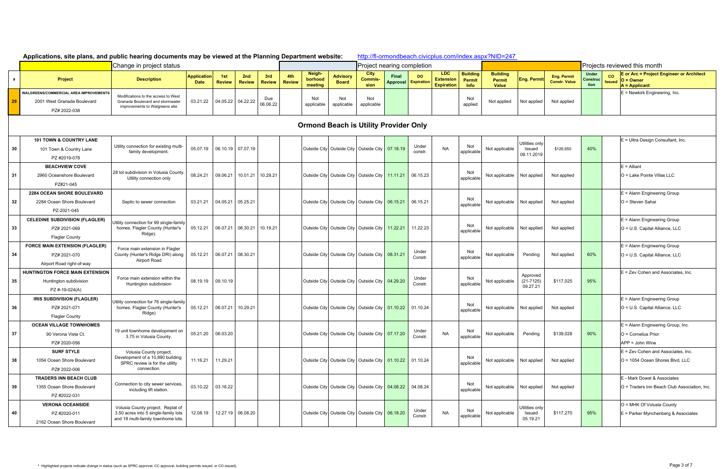|     | Applications, site plans, and public hearing documents may be viewed at the Planning Department website: |                                                                                                                 |                                   |                      |                            |                      |               |                                                       |                                 |                                |                              |                  |                                              |                                                 | http://fl-ormondbeach.civicplus.com/index.aspx?NID=247 |                                        |                                            |                                 |                     |                                                                                     |  |  |
|-----|----------------------------------------------------------------------------------------------------------|-----------------------------------------------------------------------------------------------------------------|-----------------------------------|----------------------|----------------------------|----------------------|---------------|-------------------------------------------------------|---------------------------------|--------------------------------|------------------------------|------------------|----------------------------------------------|-------------------------------------------------|--------------------------------------------------------|----------------------------------------|--------------------------------------------|---------------------------------|---------------------|-------------------------------------------------------------------------------------|--|--|
|     |                                                                                                          | Change in project status                                                                                        |                                   |                      |                            |                      |               |                                                       |                                 | Project nearing completion     |                              |                  |                                              |                                                 |                                                        |                                        |                                            | Projects reviewed this month    |                     |                                                                                     |  |  |
| #   | <b>Project</b>                                                                                           | <b>Description</b>                                                                                              | <b>Application</b><br><b>Date</b> | 1st<br><b>Review</b> | 2nd<br><b>Review</b>       | 3rd<br><b>Review</b> | 4th<br>Review | Neigh-<br>borhood<br>meeting                          | <b>Advisory</b><br><b>Board</b> | City<br><b>Commis-</b><br>sion | Final<br>Approval Expiration | <b>DO</b>        | LDC<br><b>Extension</b><br><b>Expiration</b> | <b>Building</b><br><b>Permit</b><br><b>Info</b> | <b>Building</b><br>Permit<br><b>Value</b>              | Eng. Permi                             | <b>Eng. Permit</b><br><b>Constr. Value</b> | <b>Under</b><br>Constru<br>tion | co<br><b>Issued</b> | <b>E</b> or Arc = Project Engineer or Architect<br>$O =$ Owner<br>$A = Applicant$   |  |  |
| -29 | WALGREENS/COMMERCIAL AREA IMPROVEMENTS<br>2001 West Granada Boulevard<br>PZ# 2022-038                    | Modifications to the access to West<br>Granada Boulevard and stormwater<br>improvements to Walgreens site       | 03.21.22                          | 04.05.22 04.22.22    |                            | Due<br>06.06.22      |               | Not<br>applicable                                     | Not<br>applicable               | Not<br>applicable              |                              |                  |                                              | Not<br>applied                                  | Not applied                                            | Not applied                            | Not applied                                |                                 |                     | $E =$ Newkirk Engineering, Inc.                                                     |  |  |
|     |                                                                                                          |                                                                                                                 |                                   |                      |                            |                      |               | <b>Ormond Beach is Utility Provider Only</b>          |                                 |                                |                              |                  |                                              |                                                 |                                                        |                                        |                                            |                                 |                     |                                                                                     |  |  |
| 30  | <b>101 TOWN &amp; COUNTRY LANE</b><br>101 Town & Country Lane<br>PZ #2019-078                            | Utility connection for existing multi-<br>family development.                                                   | 05.07.19                          | 06.10.19 07.07.19    |                            |                      |               | Outside City Outside City   Outside City   07.18.19   |                                 |                                |                              | Under<br>constr. | <b>NA</b>                                    | Not<br>applicable                               | Not applicable                                         | Utilities only<br>Issued<br>09.11.2019 | \$126,650                                  | 40%                             |                     | $E =$ Ultra Design Consultant, Inc.                                                 |  |  |
| -31 | <b>BEACHVIEW COVE</b><br>2960 Oceanshore Boulevard<br>PZ#21-045                                          | 28 lot subdivision in Volusia County<br>Utility connection only                                                 | 08.24.21                          | 09.06.21             | 10.01.21 10.29.21          |                      |               | Outside City   Outside City   Outside City   11.11.21 |                                 |                                |                              | 06.15.23         |                                              | Not<br>applicable                               | Not applicable                                         | Not applied                            | Not applied                                |                                 |                     | $E =$ Alliant<br>O = Lake Pointe Villas LLC                                         |  |  |
| 32  | <b>2284 OCEAN SHORE BOULEVARD</b><br>2284 Ocean Shore Boulevard<br>PZ-2021-045                           | Septic to sewer connection                                                                                      | 03.21.21                          | 04.05.21             | 05.25.21                   |                      |               | Outside City Outside City   Outside City   06.15.21   |                                 |                                |                              | 06.15.21         |                                              | applicable                                      | Not applicable                                         | Not applied                            | Not applied                                |                                 |                     | $E =$ Alann Engineering Group<br>O = Steven Sahai                                   |  |  |
| 33  | <b>CELEDINE SUBDIVISION (FLAGLER)</b><br>PZ# 2021-069<br><b>Flagler County</b>                           | Jtility connection for 99 single-family<br>homes. Flagler County (Hunter's<br>Ridge).                           | 05.12.21                          |                      | 06.07.21 08.30.21 10.19.21 |                      |               | Outside City   Outside City   Outside City   11.22.21 |                                 |                                |                              | 11.22.23         |                                              | Not<br>applicable                               | Not applicable                                         | Not applied                            | Not applied                                |                                 |                     | $E =$ Alann Engineering Group<br>$O = U.S.$ Capital Alliance, LLC                   |  |  |
| 34  | <b>FORCE MAIN EXTENSION (FLAGLER)</b><br>PZ# 2021-070<br>Airport Road right-of-way                       | Force main extension in Flagler<br>County (Hunter's Ridge DRI) along<br>Airport Road                            | 05.12.21                          | 06.07.21 08.30.21    |                            |                      |               | Outside City Outside City   Outside City   08.31.21   |                                 |                                |                              | Under<br>Constr. |                                              | Not<br>applicable                               | Not applicable                                         | Pending                                | Not applied                                | 60%                             |                     | $E =$ Alann Engineering Group<br>O = U.S. Capital Alliance, LLC                     |  |  |
| 35  | <b>HUNTINGTON FORCE MAIN EXTENSION</b><br>Huntington subdivision<br>PZ #-19-024(A)                       | Force main extension within the<br>Huntington subdivision                                                       | 08.19.19                          | 09.10.19             |                            |                      |               | Outside City   Outside City   Outside City   04.29.20 |                                 |                                |                              | Under<br>Constr. |                                              | Not<br>applicable                               | Not applicable                                         | Approved<br>$(21 - 7125)$<br>09.27.21  | \$117,025                                  | 95%                             |                     | $E = Zev$ Cohen and Associates, Inc.                                                |  |  |
| 36  | <b>IRIS SUBDIVISION (FLAGLER)</b><br>PZ# 2021-071<br><b>Flagler County</b>                               | Utility connection for 76 single-family<br>homes. Flagler County (Hunter's<br>Ridge)                            | 05.12.21                          | 06.07.21             | 10.29.21                   |                      |               | Outside City Outside City   Outside City   01.10.22   |                                 |                                |                              | 01.10.24         |                                              | Not<br>applicable                               | Not applicable                                         | Not applied                            | Not applied                                |                                 |                     | $E =$ Alann Engineering Group<br>O = U.S. Capital Alliance, LLC                     |  |  |
| 37  | <b>OCEAN VILLAGE TOWNHOMES</b><br>90 Verona Vista Ct.<br>PZ# 2020-056                                    | 19 unit townhome development on<br>3.75 in Volusia County.                                                      | 05.21.20                          | 06.03.20             |                            |                      |               | Outside City   Outside City   Outside City   07.17.20 |                                 |                                |                              | Under<br>Constr. | <b>NA</b>                                    | Not<br>applicable                               | Not applicable                                         | Pending                                | \$139,028                                  | 90%                             |                     | E = Alann Engineering Group, Inc.<br>$O =$ Cornelius Prior<br>$APP = John$ Wine     |  |  |
| 38  | <b>SURF STYLE</b><br>1054 Ocean Shore Boulevard<br>PZ# 2022-006                                          | Volusia County project.<br>Development of a 10,890 building.<br>SPRC review is for the utility<br>connection.   | 11.16.21                          | 11.29.21             |                            |                      |               | Outside City Outside City   Outside City   01.10.22   |                                 |                                |                              | 01.10.24         |                                              | Not<br>applicable                               | Not applicable Not applied                             |                                        | Not applied                                |                                 |                     | $E = Zev$ Cohen and Associates, Inc.<br>O = 1054 Ocean Shores Blvd. LLC             |  |  |
| 39  | <b>TRADERS INN BEACH CLUB</b><br>1355 Ocean Shore Boulevard<br>PZ #2022-031                              | Connection to city sewer services,<br>including lift station.                                                   | 03.10.22                          | 03.16.22             |                            |                      |               | Outside City   Outside City   Outside City   04.08.22 |                                 |                                |                              | 04.08.24         |                                              | applicable                                      | Not applicable Not applied                             |                                        | Not applied                                |                                 |                     | E - Mark Dowst & Associates<br><b>IO</b> = Traders Inn Beach Club Association. Inc. |  |  |
| 40  | <b>VERONA OCEANSIDE</b><br>PZ #2020-011<br>2162 Ocean Shore Boulevard                                    | Volusia County project. Replat of<br>3.50 acres into 5 single-family lots<br>and 18 multi-family townhome lots. | 12.08.19                          |                      | 12.27.19 06.08.20          |                      |               | Outside City   Outside City   Outside City   06.18.20 |                                 |                                |                              | Under<br>Constr. | <b>NA</b>                                    | Not<br>applicable                               | Not applicable                                         | Utilities only<br>Issued<br>05.19.21   | \$117,270                                  | 95%                             |                     | O = MHK Of Volusia County<br>$E =$ Parker Mynchenberg & Associates                  |  |  |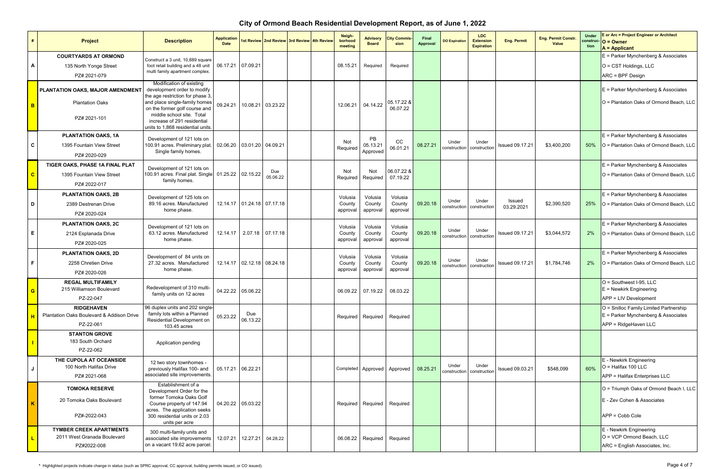| #                       | Project                                                                      | <b>Description</b>                                                                                                                                                                                                                                            | <b>Application</b><br><b>Date</b> |                 | 1st Review 2nd Review 3rd Review 4th Review |  | Neigh-<br>borhood<br>meeting  | <b>Advisory</b><br><b>Board</b>   | <b>City Commis</b><br>sion    | Final<br><b>Approval</b> | <b>DO Expiration</b>  | LDC<br><b>Extension</b><br><b>Expiration</b> | <b>Eng. Permit</b>     | <b>Eng. Permit Constr.</b><br>Value | <b>Under</b><br>tion | E or Arc = Project Engineer or Architect<br>$construc-O = Owner$<br>$A =$ Applicant                     |
|-------------------------|------------------------------------------------------------------------------|---------------------------------------------------------------------------------------------------------------------------------------------------------------------------------------------------------------------------------------------------------------|-----------------------------------|-----------------|---------------------------------------------|--|-------------------------------|-----------------------------------|-------------------------------|--------------------------|-----------------------|----------------------------------------------|------------------------|-------------------------------------|----------------------|---------------------------------------------------------------------------------------------------------|
| A                       | <b>COURTYARDS AT ORMOND</b><br>135 North Yonge Street<br>PZ# 2021-079        | Construct a 3 unit, 10,889 square<br>foot retail building and a 48 unit<br>multi family apartment complex.                                                                                                                                                    | 06.17.21 07.09.21                 |                 |                                             |  | 08.15.21                      | Required                          | Required                      |                          |                       |                                              |                        |                                     |                      | $E =$ Parker Mynchenberg & Associates<br>$O = CST$ Holdings, LLC<br>ARC = BPF Design                    |
| B                       | PLANTATION OAKS, MAJOR AMENDMENT<br><b>Plantation Oaks</b><br>PZ# 2021-101   | Modification of existing<br>development order to modify<br>the age restriction for phase 3,<br>and place single-family homes<br>on the former golf course and<br>middle school site. Total<br>increase of 291 residential<br>units to 1,868 residential units | 09.24.21                          | 10.08.21        | 03.23.22                                    |  | 12.06.21                      | 04.14.22                          | 05.17.22 &<br>06.07.22        |                          |                       |                                              |                        |                                     |                      | $E =$ Parker Mynchenberg & Associates<br>O = Plantation Oaks of Ormond Beach, LLC                       |
| C                       | <b>PLANTATION OAKS, 1A</b><br>1395 Fountain View Street<br>PZ# 2020-029      | Development of 121 lots on<br>100.91 acres. Preliminary plat<br>Single family homes.                                                                                                                                                                          | 02.06.20                          |                 | 03.01.20 04.09.21                           |  | Not<br>Required               | <b>PB</b><br>05.13.21<br>Approved | cc<br>06.01.21                | 08.27.21                 | Under<br>construction | Under<br>constructior                        | <b>Issued 09.17.21</b> | \$3,400,200                         | 50%                  | $E =$ Parker Mynchenberg & Associates<br>$\vert$ O = Plantation Oaks of Ormond Beach, LLC               |
| $\mathbf{C}$            | TIGER OAKS, PHASE 1A FINAL PLAT<br>1395 Fountain View Street<br>PZ# 2022-017 | Development of 121 lots on<br>100.91 acres. Final plat. Single<br>family homes.                                                                                                                                                                               | 01.25.22 02.15.22                 |                 | Due<br>05.06.22                             |  | <b>Not</b><br>Required        | Not<br>Required                   | 06.07.22 &<br>07.19.22        |                          |                       |                                              |                        |                                     |                      | $E =$ Parker Mynchenberg & Associates<br>O = Plantation Oaks of Ormond Beach, LLC                       |
| D                       | <b>PLANTATION OAKS, 2B</b><br>2389 Destrenan Drive<br>PZ# 2020-024           | Development of 125 lots on<br>89.16 acres. Manufactured<br>home phase.                                                                                                                                                                                        |                                   |                 | 12.14.17 01.24.18 07.17.18                  |  | Volusia<br>County<br>approval | Volusia<br>County<br>approval     | Volusia<br>County<br>approval | 09.20.18                 | Under<br>construction | Under<br>constructior                        | Issued<br>03.29.2021   | \$2,390,520                         | 25%                  | $E =$ Parker Mynchenberg & Associates<br>$\vert$ O = Plantation Oaks of Ormond Beach, LLC               |
| E                       | <b>PLANTATION OAKS, 2C</b><br>2124 Esplanada Drive<br>PZ# 2020-025           | Development of 121 lots on<br>63.12 acres. Manufactured<br>home phase.                                                                                                                                                                                        | 12.14.17                          |                 | 2.07.18 07.17.18                            |  | Volusia<br>County<br>approval | Volusia<br>County<br>approval     | Volusia<br>County<br>approval | 09.20.18                 | Under<br>construction | Under<br>construction                        | <b>Issued 09.17.21</b> | \$3,044,572                         | <b>2%</b>            | $E =$ Parker Mynchenberg & Associates<br>O = Plantation Oaks of Ormond Beach, LLC                       |
| F                       | <b>PLANTATION OAKS, 2D</b><br>2258 Chretien Drive<br>PZ# 2020-026            | Development of 84 units on<br>27.32 acres. Manufactured<br>home phase.                                                                                                                                                                                        |                                   |                 | 12.14.17 02.12.18 08.24.18                  |  | Volusia<br>County<br>approval | Volusia<br>County<br>approval     | Volusia<br>County<br>approval | 09.20.18                 | Under<br>construction | Under<br>constructior                        | <b>Issued 09.17.21</b> | \$1,784,746                         | 2%                   | $E =$ Parker Mynchenberg & Associates<br>O = Plantation Oaks of Ormond Beach, LLC                       |
| $\mathbf{G}$            | <b>REGAL MULTIFAMILY</b><br>215 Williamson Boulevard<br>PZ-22-047            | Redevelopment of 310 multi-<br>family units on 12 acres                                                                                                                                                                                                       | 04.22.22 05.06.22                 |                 |                                             |  |                               | 06.09.22 07.19.22                 | 08.03.22                      |                          |                       |                                              |                        |                                     |                      | $O =$ Southwest I-95, LLC<br>$E =$ Newkirk Engineering<br>$APP = LIV$ Development                       |
|                         | <b>RIDGEHAVEN</b><br>Plantation Oaks Boulevard & Addison Drive<br>PZ-22-061  | 96 duplex units and 202 single-<br>family lots within a Planned<br>Residential Development on<br>103.45 acres                                                                                                                                                 | 05.23.22                          | Due<br>06.13.22 |                                             |  |                               | Required Required                 | Required                      |                          |                       |                                              |                        |                                     |                      | O = Snilloc Family Limited Partnership<br>$E =$ Parker Mynchenberg & Associates<br>APP = RidgeHaven LLC |
|                         | <b>STANTON GROVE</b><br>183 South Orchard<br>PZ-22-062                       | Application pending                                                                                                                                                                                                                                           |                                   |                 |                                             |  |                               |                                   |                               |                          |                       |                                              |                        |                                     |                      |                                                                                                         |
| J                       | THE CUPOLA AT OCEANSIDE<br>100 North Halifax Drive<br>PZ# 2021-068           | 12 two story townhomes -<br>previously Halifax 100- and<br>associated site improvements.                                                                                                                                                                      | 05.17.21 06.22.21                 |                 |                                             |  |                               |                                   | Completed Approved Approved   | 08.25.21                 | Under<br>construction | Under<br>construction                        | <b>Issued 09.03.21</b> | \$548,099                           | 60%                  | E - Newkirk Engineering<br>$O =$ Halifax 100 LLC<br>$APP =$ Halifax Enterprises LLC                     |
| $\overline{\mathbf{K}}$ | <b>TOMOKA RESERVE</b><br>20 Tomoka Oaks Boulevard<br>PZ#-2022-043            | Establishment of a<br>Development Order for the<br>former Tomoka Oaks Golf<br>Course property of 147.94<br>acres. The application seeks<br>300 residential units or 2.03<br>units per acre                                                                    | 04.20.22 05.03.22                 |                 |                                             |  |                               | Required Required                 | Required                      |                          |                       |                                              |                        |                                     |                      | O = Triumph Oaks of Ormond Beach I, LLC<br>E - Zev Cohen & Associates<br>$APP = Cobb$ Cole              |
|                         | <b>TYMBER CREEK APARTMENTS</b><br>2011 West Granada Boulevard<br>PZ#2022-008 | 300 multi-family units and<br>associated site improvements<br>on a vacant 19.62 acre parcel.                                                                                                                                                                  | 12.07.21                          | 12.27.21        | 04.28.22                                    |  |                               |                                   | 06.08.22 Required Required    |                          |                       |                                              |                        |                                     |                      | E - Newkirk Engineering<br>$O = VCP$ Ormond Beach, LLC<br>ARC = English Associates, Inc.                |

### **City of Ormond Beach Residential Development Report, as of June 1, 2022**

 **\*** Highlighted projects indicate change in status (such as SPRC approval, CC approval, building permits issued, or CO issued). Page 4 of 7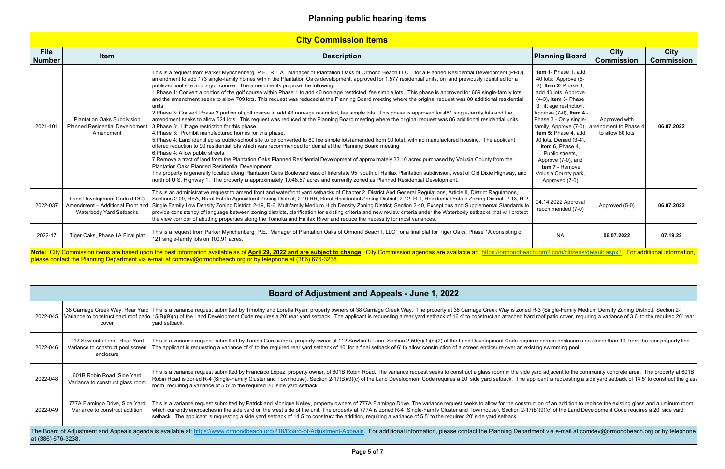|                              |                                                                                                                                                                                                                                                                                                                                                  | <b>City Commission items</b>                                                                                                                                                                                                                                                                                                                                                                                                                                                                                                                                                                                                                                                                                                                                                                                                                                                                                                                                                                                                                                                                                                                                                                                                                                                                                                                                                                                                                                                                                                                                                                                                                                                                                                                                                                                                                                                                                                                                                                                             |                                                                                                                                                                                                                                                                                                                                                                                                                                |                                   |                                  |  |  |  |  |
|------------------------------|--------------------------------------------------------------------------------------------------------------------------------------------------------------------------------------------------------------------------------------------------------------------------------------------------------------------------------------------------|--------------------------------------------------------------------------------------------------------------------------------------------------------------------------------------------------------------------------------------------------------------------------------------------------------------------------------------------------------------------------------------------------------------------------------------------------------------------------------------------------------------------------------------------------------------------------------------------------------------------------------------------------------------------------------------------------------------------------------------------------------------------------------------------------------------------------------------------------------------------------------------------------------------------------------------------------------------------------------------------------------------------------------------------------------------------------------------------------------------------------------------------------------------------------------------------------------------------------------------------------------------------------------------------------------------------------------------------------------------------------------------------------------------------------------------------------------------------------------------------------------------------------------------------------------------------------------------------------------------------------------------------------------------------------------------------------------------------------------------------------------------------------------------------------------------------------------------------------------------------------------------------------------------------------------------------------------------------------------------------------------------------------|--------------------------------------------------------------------------------------------------------------------------------------------------------------------------------------------------------------------------------------------------------------------------------------------------------------------------------------------------------------------------------------------------------------------------------|-----------------------------------|----------------------------------|--|--|--|--|
| <b>File</b><br><b>Number</b> | <b>Item</b>                                                                                                                                                                                                                                                                                                                                      | <b>Description</b>                                                                                                                                                                                                                                                                                                                                                                                                                                                                                                                                                                                                                                                                                                                                                                                                                                                                                                                                                                                                                                                                                                                                                                                                                                                                                                                                                                                                                                                                                                                                                                                                                                                                                                                                                                                                                                                                                                                                                                                                       | <b>Planning Board</b>                                                                                                                                                                                                                                                                                                                                                                                                          | <b>City</b><br><b>Commission</b>  | <b>City</b><br><b>Commission</b> |  |  |  |  |
| 2021-101                     | <b>Plantation Oaks Subdivision</b><br><b>Planned Residential Development</b><br>Amendment                                                                                                                                                                                                                                                        | This is a request from Parker Mynchenberg, P.E., R.L.A., Manager of Plantation Oaks of Ormond Beach LLC., for a Planned Residential Development (PRD)<br>amendment to add 173 single-family homes within the Plantation Oaks development, approved for 1,577 residential units, on land previously identified for a<br>public-school site and a golf course. The amendments propose the following:<br>1.Phase 1: Convert a portion of the golf course within Phase 1 to add 40 non-age restricted, fee simple lots. This phase is approved for 669 single-family lots<br>and the amendment seeks to allow 709 lots. This request was reduced at the Planning Board meeting where the original request was 80 additional residential<br>units.<br>2. Phase 3: Convert Phase 3 portion of golf course to add 43 non-age restricted, fee simple lots. This phase is approved for 481 single-family lots and the<br>amendment seeks to allow 524 lots. This request was reduced at the Planning Board meeting where the original request was 86 additional residential units.<br>3. Phase 3: Lift age restriction for this phase.<br>4. Phase 3: Prohibit manufactured homes for this phase.<br>5. Phase 4: Land identified as public-school site to be converted to 80 fee simple lots(amended from 90 lots), with no manufactured housing. The applicant<br>offered reduction to 90 residential lots which was recommended for denial at the Planning Board meeting.<br>6. Phase 4: Allow public streets.<br>7. Remove a tract of land from the Plantation Oaks Planned Residential Development of approximately 33.10 acres purchased by Volusia County from the<br>Plantation Oaks Planned Residential Development.<br>The property is generally located along Plantation Oaks Boulevard east of Interstate 95, south of Halifax Plantation subdivision, west of Old Dixie Highway, and<br>north of U.S. Highway 1. The property is approximately 1,048.57 acres and currently zoned as Planned Residential Development. | Item 1- Phase 1, add<br>40 lots: Approve (5-<br>2), Item 2- Phase 3,<br>add 43 lots, Approve<br>(4-3), Item 3- Phase<br>3, lift age restriction,<br>Approve (7-0), Item 4<br>Phase 3 - Only single-<br>family, Approve (7-0), amendment to Phase 4<br>item 5: Phase 4, add<br>90 lots, Denied (3-4),<br>Item 6, Phase 4,<br>Public streets,<br>Approve (7-0), and<br>Item 7 - Remove<br>Volusia County park,<br>Approved (7-0) | Approved with<br>to allow 80 lots | 06.07.2022                       |  |  |  |  |
| 2022-037                     | Land Development Code (LDC)<br><b>Waterbody Yard Setbacks</b>                                                                                                                                                                                                                                                                                    | This is an administrative request to amend front and waterfront yard setbacks of Chapter 2, District And General Regulations, Article II, District Regulations,<br>Sections 2-09, REA, Rural Estate Agricultural Zoning District; 2-10 RR, Rural Residential Zoning District; 2-12, R-1, Residential Estate Zoning District; 2-13, R-2,<br>Amendment - Additional Front and Single Family Low Density Zoning District; 2-19, R-6, Multifamily Medium High Density Zoning District; Section 2-40, Exceptions and Supplemental Standards to<br>provide consistency of language between zoning districts, clarification for existing criteria and new review criteria under the Waterbody setbacks that will protect<br>the view corridor of abutting properties along the Tomoka and Halifax River and reduce the necessity for most variances.                                                                                                                                                                                                                                                                                                                                                                                                                                                                                                                                                                                                                                                                                                                                                                                                                                                                                                                                                                                                                                                                                                                                                                            | 04.14.2022 Approval<br>recommended (7-0)                                                                                                                                                                                                                                                                                                                                                                                       | Approved (5-0)                    | 06.07.2022                       |  |  |  |  |
| 2022-17                      | Tiger Oaks, Phase 1A Final plat                                                                                                                                                                                                                                                                                                                  | This is a request from Parker Mynchenberg, P.E., Manager of Plantation Oaks of Ormond Beach I, LLC, for a final plat for Tiger Oaks, Phase 1A consisting of<br>121 single-family lots on 100.91 acres.                                                                                                                                                                                                                                                                                                                                                                                                                                                                                                                                                                                                                                                                                                                                                                                                                                                                                                                                                                                                                                                                                                                                                                                                                                                                                                                                                                                                                                                                                                                                                                                                                                                                                                                                                                                                                   | <b>NA</b>                                                                                                                                                                                                                                                                                                                                                                                                                      | 06.07.2022                        | 07.19.22                         |  |  |  |  |
|                              | Note: City Commission items are based upon the best information available as of April 29, 2022 and are subject to change. City Commission agendas are available at: https://ormondbeach.igm2.com/citizens/default.aspx?. For a<br>please contact the Planning Department via e-mail at comdev@ormondbeach.org or by telephone at (386) 676-3238. |                                                                                                                                                                                                                                                                                                                                                                                                                                                                                                                                                                                                                                                                                                                                                                                                                                                                                                                                                                                                                                                                                                                                                                                                                                                                                                                                                                                                                                                                                                                                                                                                                                                                                                                                                                                                                                                                                                                                                                                                                          |                                                                                                                                                                                                                                                                                                                                                                                                                                |                                   |                                  |  |  |  |  |

|                    |                                                                                | Board of Adjustment and Appeals - June 1, 2022                                                                                                                                                                                                                                                                                                                                                                                                                                                                                                                                                                                       |
|--------------------|--------------------------------------------------------------------------------|--------------------------------------------------------------------------------------------------------------------------------------------------------------------------------------------------------------------------------------------------------------------------------------------------------------------------------------------------------------------------------------------------------------------------------------------------------------------------------------------------------------------------------------------------------------------------------------------------------------------------------------|
| 2022-045           | cover                                                                          | 38 Carriage Creek Way, Rear Yard  This is a variance request submitted by Timothy and Loretta Ryan, property owners of 38 Carriage Creek Way. The property at 38 Carriage Creek Way is zoned R-3 (Single-Family Medium Density<br>Variance to construct hard roof patio 15(B)(9)(b) of the Land Development Code requires a 20' rear yard setback. The applicant is requesting a rear yard setback of 16.4' to construct an attached hard roof patio cover, requ<br>vard setback.                                                                                                                                                    |
| 2022-046           | 112 Sawtooth Lane, Rear Yard<br>Variance to construct pool screen<br>enclosure | This is a variance request submitted by Tanina Gerosiannis, property owner of 112 Sawtooth Lane. Section 2-50(y)(1)(c)(2) of the Land Development Code requires screen enclosures no closer than 10' from the rear property li<br>The applicant is requesting a variance of 4' to the required rear yard setback of 10' for a final setback of 6' to allow construction of a screen enclosure over an existing swimming pool.                                                                                                                                                                                                        |
| 2022-048           | 601B Robin Road, Side Yard<br>Variance to construct glass room                 | This is a variance request submitted by Francisco Lopez, property owner, of 601B Robin Road. The variance request seeks to construct a glass room in the side yard adjacent to the community concrete area. The property at 60<br>Robin Road is zoned R-4 (Single-Family Cluster and Townhouse). Section 2-17(B)(9)(c) of the Land Development Code requires a 20' side yard setback. The applicant is requesting a side yard setback of 14.5' to construct the<br>room, requiring a variance of 5.5' to the required 20' side yard setback.                                                                                         |
| 2022-049           | 777A Flamingo Drive, Side Yard<br>Variance to construct addition               | This is a variance request submitted by Patrick and Monique Kelley, property owners of 777A Flamingo Drive. The variance request seeks to allow for the construction of an addition to replace the existing glass and aluminum<br>which currently encroaches in the side yard on the west side of the unit. The property at 777A is zoned R-4 (Single-Family Cluster and Townhouse). Section 2-17(B)(9)(c) of the Land Development Code requires a 20' side yard<br>setback. The applicant is requesting a side yard setback of 14.5' to construct the addition, requiring a variance of 5.5' to the required 20' side yard setback. |
| at (386) 676-3238. |                                                                                | The Board of Adjustment and Appeals agenda is available at: https://www.ormondbeach.org/218/Board-of-Adjustment-Appeals. For additional information, please contact the Planning Department via e-mail at comdev@ormondbeach.o                                                                                                                                                                                                                                                                                                                                                                                                       |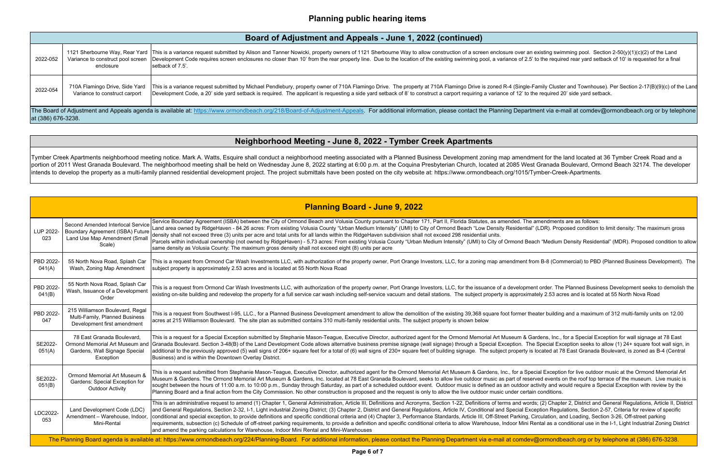## **Neighborhood Meeting - June 8, 2022 - Tymber Creek Apartments**

Tymber Creek Apartments neighborhood meeting notice. Mark A. Watts, Esquire shall conduct a neighborhood meeting associated with a Planned Business Development zoning map amendment for the land located at 36 Tymber Creek R portion of 2011 West Granada Boulevard. The neighborhood meeting shall be held on Wednesday June 8, 2022 starting at 6:00 p.m. at the Coquina Presbyterian Church, located at 2085 West Granada Boulevard, Ormond Beach 32174. intends to develop the property as a multi-family planned residential development project. The project submittals have been posted on the city website at: https://www.ormondbeach.org/1015/Tymber-Creek-Apartments.

|          |                                                                                                                                                                                                                | Board of Adjustment and Appeals - June 1, 2022 (continued)                                                                                                                                                                                                                                                                                                                                 |  |  |  |  |  |  |
|----------|----------------------------------------------------------------------------------------------------------------------------------------------------------------------------------------------------------------|--------------------------------------------------------------------------------------------------------------------------------------------------------------------------------------------------------------------------------------------------------------------------------------------------------------------------------------------------------------------------------------------|--|--|--|--|--|--|
| 2022-052 | Variance to construct pool screen<br>enclosure                                                                                                                                                                 | 1121 Sherbourne Way, Rear Yard  This is a variance request submitted by Alison and Tanner Nowicki, property owners of 1121 Sherbourne Way to allow construction of a screen enclosure over an e<br>Development Code requires screen enclosures no closer than 10' from the rear property line. Due to the location of the existing swimming pool, a variance of 2.5' t<br>setback of 7.5'. |  |  |  |  |  |  |
| 2022-054 | 710A Flamingo Drive, Side Yard<br>Variance to construct carport                                                                                                                                                | This is a variance request submitted by Michael Pendlebury, property owner of 710A Flamingo Drive. The property at 710A Flamingo Drive is zoned R-4 (Single-Fa<br>Development Code, a 20' side yard setback is required. The applicant is requesting a side yard setback of 8' to construct a carport requiring a variance of 12' to the                                                   |  |  |  |  |  |  |
|          | The Board of Adjustment and Appeals agenda is available at: https://www.ormondbeach.org/218/Board-of-Adjustment-Appeals. For additional information, please contact the Planning Departm<br>at (386) 676-3238. |                                                                                                                                                                                                                                                                                                                                                                                            |  |  |  |  |  |  |

|                     |                                                                                                                  | <b>Planning Board - June 9, 2022</b>                                                                                                                                                                                                                                                                                                                                                                                                                                                                                                                                                                                                                                                                                                                                                                                                                    |
|---------------------|------------------------------------------------------------------------------------------------------------------|---------------------------------------------------------------------------------------------------------------------------------------------------------------------------------------------------------------------------------------------------------------------------------------------------------------------------------------------------------------------------------------------------------------------------------------------------------------------------------------------------------------------------------------------------------------------------------------------------------------------------------------------------------------------------------------------------------------------------------------------------------------------------------------------------------------------------------------------------------|
| LUP 2022-<br>023    | Second Amended Interlocal Service<br>Boundary Agreement (ISBA) Future<br>Land Use Map Amendment (Small<br>Scale) | Service Boundary Agreement (ISBA) between the City of Ormond Beach and Volusia County pursuant to Chapter 171, Part II, Florida Statutes, as amended. The amendment<br>Land area owned by RidgeHaven - 84.26 acres: From existing Volusia County "Urban Medium Intensity" (UMI) to City of Ormond Beach "Low Density Residential" (LDR). Prop<br>density shall not exceed three (3) units per acre and total units for all lands within the RidgeHaven subdivision shall not exceed 298 residential units.<br>Parcels within individual ownership (not owned by RidgeHaven) - 5.73 acres: From existing Volusia County "Urban Medium Intensity" (UMI) to City of Ormond Beach "Medium<br>same density as Volusia County: The maximum gross density shall not exceed eight (8) units per acre                                                            |
| PBD 2022-<br>041(A) | 55 North Nova Road, Splash Car<br>Wash, Zoning Map Amendment                                                     | This is a request from Ormond Car Wash Investments LLC, with authorization of the property owner, Port Orange Investors, LLC, for a zoning map amendment from B-8 (Con<br>subject property is approximately 2.53 acres and is located at 55 North Nova Road                                                                                                                                                                                                                                                                                                                                                                                                                                                                                                                                                                                             |
| PBD 2022-<br>041(B) | 55 North Nova Road, Splash Car<br>Wash, Issuance of a Development<br>Order                                       | This is a request from Ormond Car Wash Investments LLC, with authorization of the property owner, Port Orange Investors, LLC, for the issuance of a development order. The<br>existing on-site building and redevelop the property for a full service car wash including self-service vacuum and detail stations. The subject property is approximately 2.53 ac                                                                                                                                                                                                                                                                                                                                                                                                                                                                                         |
| PBD 2022-<br>047    | 215 Williamson Boulevard, Regal<br>Multi-Family, Planned Business<br>Development first amendment                 | This is a request from Southwest I-95, LLC., for a Planned Business Development amendment to allow the demolition of the existing 39,368 square foot former theater building<br>acres at 215 Williamson Boulevard. The site plan as submitted contains 310 multi-family residential units. The subject property is shown below                                                                                                                                                                                                                                                                                                                                                                                                                                                                                                                          |
| SE2022-<br>051(A)   | 78 East Granada Boulevard,<br>Gardens, Wall Signage Special<br>Exception                                         | This is a request for a Special Exception submitted by Stephanie Mason-Teague, Executive Director, authorized agent for the Ormond Memorial Art Museum & Gardens, Inc.,<br>Ormond Memorial Art Museum and Granada Boulevard. Section 3-48(B) of the Land Development Code allows alternative business premise signage (wall signage) through a Special Exception. The Special Ex<br>additional to the previously approved (5) wall signs of 206+ square feet for a total of (6) wall signs of 230+ square feet of building signage. The subject property is located at 7<br>Business) and is within the Downtown Overlay District.                                                                                                                                                                                                                      |
| SE2022-<br>051(B)   | Ormond Memorial Art Museum &<br>Gardens: Special Exception for<br><b>Outdoor Activity</b>                        | This is a request submitted from Stephanie Mason-Teague, Executive Director, authorized agent for the Ormond Memorial Art Museum & Gardens, Inc., for a Special Exceptio<br>Museum & Gardens. The Ormond Memorial Art Museum & Gardens, Inc. located at 78 East Granada Boulevard, seeks to allow live outdoor music as part of reserved events<br>sought between the hours of 11:00 a.m. to 10:00 p.m., Sunday through Saturday, as part of a scheduled outdoor event. Outdoor music is defined as an outdoor activity and w<br>Planning Board and a final action from the City Commission. No other construction is proposed and the request is only to allow the live outdoor music under certain conditions                                                                                                                                         |
| LDC2022-<br>053     | Land Development Code (LDC)<br>Amendment - Warehouse, Indoor,<br>Mini-Rental                                     | This is an administrative request to amend (1) Chapter 1, General Administration, Article III, Definitions and Acronyms, Section 1-22, Definitions of terms and words; (2) Chapt<br>and General Regulations, Section 2-32, I-1, Light industrial Zoning District; (3) Chapter 2, District and General Regulations, Article IV, Conditional and Special Exception Regulations<br>conditional and special exception, to provide definitions and specific conditional criteria and (4) Chapter 3, Performance Standards, Article III, Off-Street Parking, Circulation, a<br>requirements, subsection (c) Schedule of off-street parking requirements, to provide a definition and specific conditional criteria to allow Warehouse, Indoor Mini Rental as a co<br>and amend the parking calculations for Warehouse, Indoor Mini Rental and Mini-Warehouses |
|                     |                                                                                                                  | The Planning Board agenda is available at: https://www.ormondbeach.org/224/Planning-Board. For additional information, please contact the Planning Department via e-mail at comdev@ormondb                                                                                                                                                                                                                                                                                                                                                                                                                                                                                                                                                                                                                                                              |

existing swimming pool. Section  $2-50(y)(1)(c)(2)$  of the Land to the required rear yard setback of 10' is requested for a final

ˈamily Cluster and Townhouse). Per Section 2-17(B)(9)(c) of the Lanc<br>le required 20' side yard setback.

ent via e-mail at comdev@ormondbeach.org or by telephone

amendments are as follows:

' (LDR). Proposed condition to limit density: The maximum gross

ach "Medium Density Residential" (MDR). Proposed condition to allow

om B-8 (Commercial) to PBD (Planned Business Development). The

nt order. The Planned Business Development seeks to demolish the ately 2.53 acres and is located at 55 North Nova Road

eater building and a maximum of 312 multi-family units on 12.00

ardens, Inc., for a Special Exception for wall signage at 78 East  $B$  Special Exception seeks to allow (1) 24+ square foot wall sign, in located at 78 East Granada Boulevard, is zoned as B-4 (Central

cial Exception for live outdoor music at the Ormond Memorial Art rved events on the roof top terrace of the museum. Live music is ctivity and would require a Special Exception with review by the

ls; (2) Chapter 2, District and General Regulations, Article II, District eption Regulations, Section 2-57, Criteria for review of specific Circulation, and Loading, Section 3-26, Off-street parking ental as a conditional use in the I-1, Light Industrial Zoning District

@ormondbeach.org or by telephone at (386) 676-3238.